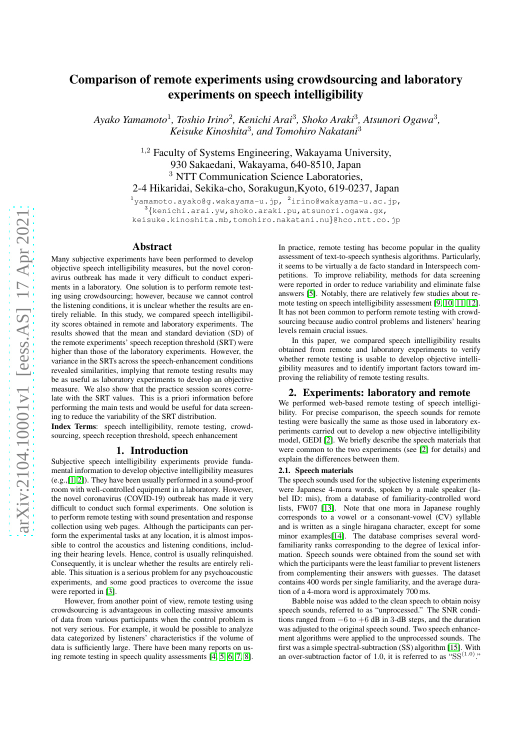# Comparison of remote experiments using crowdsourcing and laboratory experiments on speech intelligibility

Ayako Yamamoto<sup>1</sup>, Toshio Irino<sup>2</sup>, Kenichi Arai<sup>3</sup>, Shoko Araki<sup>3</sup>, Atsunori Ogawa<sup>3</sup>, *Keisuke Kinoshita*<sup>3</sup> *, and Tomohiro Nakatani*<sup>3</sup>

> <sup>1,2</sup> Faculty of Systems Engineering, Wakayama University, 930 Sakaedani, Wakayama, 640-8510, Japan <sup>3</sup> NTT Communication Science Laboratories, 2-4 Hikaridai, Sekika-cho, Sorakugun,Kyoto, 619-0237, Japan

> $^{1}$ yamamoto.ayako@g.wakayama-u.jp,  $^{2}$ irino@wakayama-u.ac.jp,  $^3\{$ kenichi.arai.yw,shoko.araki.pu,atsunori.ogawa.gx, keisuke.kinoshita.mb,tomohiro.nakatani.nu}@hco.ntt.co.jp

# Abstract

Many subjective experiments have been performed to develop objective speech intelligibility measures, but the novel coronavirus outbreak has made it very difficult to conduct experiments in a laboratory. One solution is to perform remote testing using crowdsourcing; however, because we cannot control the listening conditions, it is unclear whether the results are entirely reliable. In this study, we compared speech intelligibility scores obtained in remote and laboratory experiments. The results showed that the mean and standard deviation (SD) of the remote experiments' speech reception threshold (SRT) were higher than those of the laboratory experiments. However, the variance in the SRTs across the speech-enhancement conditions revealed similarities, implying that remote testing results may be as useful as laboratory experiments to develop an objective measure. We also show that the practice session scores correlate with the SRT values. This is a priori information before performing the main tests and would be useful for data screening to reduce the variability of the SRT distribution.

Index Terms: speech intelligibility, remote testing, crowdsourcing, speech reception threshold, speech enhancement

## 1. Introduction

Subjective speech intelligibility experiments provide fundamental information to develop objective intelligibility measures (e.g.,[\[1,](#page-4-0) [2\]](#page-4-1)). They have been usually performed in a sound-proof room with well-controlled equipment in a laboratory. However, the novel coronavirus (COVID-19) outbreak has made it very difficult to conduct such formal experiments. One solution is to perform remote testing with sound presentation and response collection using web pages. Although the participants can perform the experimental tasks at any location, it is almost impossible to control the acoustics and listening conditions, including their hearing levels. Hence, control is usually relinquished. Consequently, it is unclear whether the results are entirely reliable. This situation is a serious problem for any psychoacoustic experiments, and some good practices to overcome the issue were reported in [\[3\]](#page-4-2).

However, from another point of view, remote testing using crowdsourcing is advantageous in collecting massive amounts of data from various participants when the control problem is not very serious. For example, it would be possible to analyze data categorized by listeners' characteristics if the volume of data is sufficiently large. There have been many reports on using remote testing in speech quality assessments [\[4,](#page-4-3) [5,](#page-4-4) [6,](#page-4-5) [7,](#page-4-6) [8\]](#page-4-7).

In practice, remote testing has become popular in the quality assessment of text-to-speech synthesis algorithms. Particularly, it seems to be virtually a de facto standard in Interspeech competitions. To improve reliability, methods for data screening were reported in order to reduce variability and eliminate false answers [\[5\]](#page-4-4). Notably, there are relatively few studies about remote testing on speech intelligibility assessment [\[9,](#page-4-8) [10,](#page-4-9) [11,](#page-4-10) [12\]](#page-4-11). It has not been common to perform remote testing with crowdsourcing because audio control problems and listeners' hearing levels remain crucial issues.

In this paper, we compared speech intelligibility results obtained from remote and laboratory experiments to verify whether remote testing is usable to develop objective intelligibility measures and to identify important factors toward improving the reliability of remote testing results.

## 2. Experiments: laboratory and remote

We performed web-based remote testing of speech intelligibility. For precise comparison, the speech sounds for remote testing were basically the same as those used in laboratory experiments carried out to develop a new objective intelligibility model, GEDI [\[2\]](#page-4-1). We briefly describe the speech materials that were common to the two experiments (see [\[2\]](#page-4-1) for details) and explain the differences between them.

#### 2.1. Speech materials

The speech sounds used for the subjective listening experiments were Japanese 4-mora words, spoken by a male speaker (label ID: mis), from a database of familiarity-controlled word lists, FW07 [\[13\]](#page-4-12). Note that one mora in Japanese roughly corresponds to a vowel or a consonant-vowel (CV) syllable and is written as a single hiragana character, except for some minor examples[\[14\]](#page-4-13). The database comprises several wordfamiliarity ranks corresponding to the degree of lexical information. Speech sounds were obtained from the sound set with which the participants were the least familiar to prevent listeners from complementing their answers with guesses. The dataset contains 400 words per single familiarity, and the average duration of a 4-mora word is approximately 700 ms.

Babble noise was added to the clean speech to obtain noisy speech sounds, referred to as "unprocessed." The SNR conditions ranged from  $-6$  to  $+6$  dB in 3-dB steps, and the duration was adjusted to the original speech sound. Two speech enhancement algorithms were applied to the unprocessed sounds. The first was a simple spectral-subtraction (SS) algorithm [\[15\]](#page-4-14). With an over-subtraction factor of 1.0, it is referred to as " $SS^{(1.0)}$ "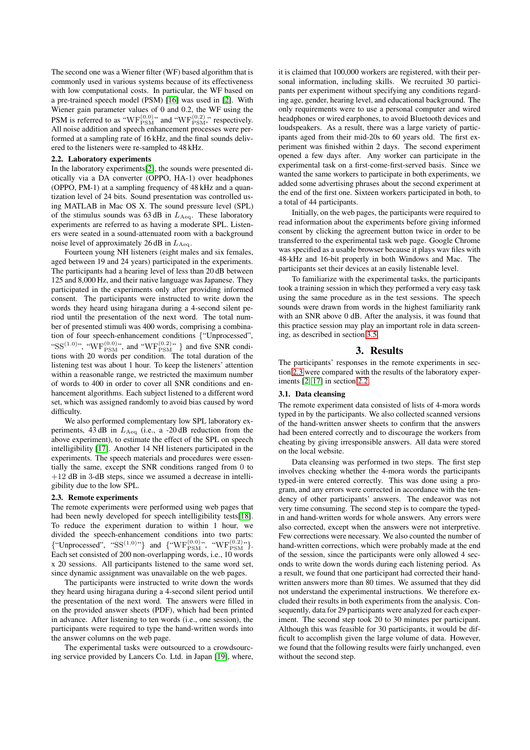The second one was a Wiener filter (WF) based algorithm that is commonly used in various systems because of its effectiveness with low computational costs. In particular, the WF based on a pre-trained speech model (PSM) [\[16\]](#page-4-15) was used in [\[2\]](#page-4-1). With Wiener gain parameter values of 0 and 0.2, the WF using the PSM is referred to as " $WF_{PSM}^{(0.0)}$ " and "WF $_{PSM}^{(0.2)}$ ", respectively. All noise addition and speech enhancement processes were performed at a sampling rate of 16 kHz, and the final sounds delivered to the listeners were re-sampled to 48 kHz.

## <span id="page-1-1"></span>2.2. Laboratory experiments

In the laboratory experiments[\[2\]](#page-4-1), the sounds were presented diotically via a DA converter (OPPO, HA-1) over headphones (OPPO, PM-1) at a sampling frequency of 48 kHz and a quantization level of 24 bits. Sound presentation was controlled using MATLAB in Mac OS X. The sound pressure level (SPL) of the stimulus sounds was  $63$  dB in  $L_{\text{Aeq}}$ . These laboratory experiments are referred to as having a moderate SPL. Listeners were seated in a sound-attenuated room with a background noise level of approximately 26 dB in  $L_{\text{Aeq}}$ .

Fourteen young NH listeners (eight males and six females, aged between 19 and 24 years) participated in the experiments. The participants had a hearing level of less than 20 dB between 125 and 8,000 Hz, and their native language was Japanese. They participated in the experiments only after providing informed consent. The participants were instructed to write down the words they heard using hiragana during a 4-second silent period until the presentation of the next word. The total number of presented stimuli was 400 words, comprising a combination of four speech-enhancement conditions {"Unprocessed", "SS<sup>(1.0)</sup>", "WF $_{\text{PSM}}^{(0.0)}$ ", and "WF $_{\text{PSM}}^{(0.2)}$ "} and five SNR conditions with 20 words per condition. The total duration of the listening test was about 1 hour. To keep the listeners' attention within a reasonable range, we restricted the maximum number of words to 400 in order to cover all SNR conditions and enhancement algorithms. Each subject listened to a different word set, which was assigned randomly to avoid bias caused by word difficulty.

We also performed complementary low SPL laboratory experiments,  $43$  dB in  $L_{\text{Aeq}}$  (i.e., a -20 dB reduction from the above experiment), to estimate the effect of the SPL on speech intelligibility [\[17\]](#page-4-16). Another 14 NH listeners participated in the experiments. The speech materials and procedures were essentially the same, except the SNR conditions ranged from 0 to +12 dB in 3-dB steps, since we assumed a decrease in intelligibility due to the low SPL.

## <span id="page-1-0"></span>2.3. Remote experiments

The remote experiments were performed using web pages that had been newly developed for speech intelligibility tests[\[18\]](#page-4-17). To reduce the experiment duration to within 1 hour, we divided the speech-enhancement conditions into two parts: {"Unprocessed", "SS<sup>(1.0)</sup>"} and {"WF<sub>PSM</sub>", "WF<sub>PSM</sub>"}. Each set consisted of 200 non-overlapping words, i.e., 10 words x 20 sessions. All participants listened to the same word set, since dynamic assignment was unavailable on the web pages.

The participants were instructed to write down the words they heard using hiragana during a 4-second silent period until the presentation of the next word. The answers were filled in on the provided answer sheets (PDF), which had been printed in advance. After listening to ten words (i.e., one session), the participants were required to type the hand-written words into the answer columns on the web page.

The experimental tasks were outsourced to a crowdsourcing service provided by Lancers Co. Ltd. in Japan [\[19\]](#page-4-18), where, it is claimed that 100,000 workers are registered, with their personal information, including skills. We recruited 30 participants per experiment without specifying any conditions regarding age, gender, hearing level, and educational background. The only requirements were to use a personal computer and wired headphones or wired earphones, to avoid Bluetooth devices and loudspeakers. As a result, there was a large variety of participants aged from their mid-20s to 60 years old. The first experiment was finished within 2 days. The second experiment opened a few days after. Any worker can participate in the experimental task on a first-come-first-served basis. Since we wanted the same workers to participate in both experiments, we added some advertising phrases about the second experiment at the end of the first one. Sixteen workers participated in both, to a total of 44 participants.

Initially, on the web pages, the participants were required to read information about the experiments before giving informed consent by clicking the agreement button twice in order to be transferred to the experimental task web page. Google Chrome was specified as a usable browser because it plays wav files with 48-kHz and 16-bit properly in both Windows and Mac. The participants set their devices at an easily listenable level.

To familiarize with the experimental tasks, the participants took a training session in which they performed a very easy task using the same procedure as in the test sessions. The speech sounds were drawn from words in the highest familiarity rank with an SNR above 0 dB. After the analysis, it was found that this practice session may play an important role in data screening, as described in section [3.5.](#page-3-0)

# 3. Results

The participants' responses in the remote experiments in section [2.3](#page-1-0) were compared with the results of the laboratory experiments [\[2,](#page-4-1) [17\]](#page-4-16) in section [2.2.](#page-1-1)

## 3.1. Data cleansing

The remote experiment data consisted of lists of 4-mora words typed in by the participants. We also collected scanned versions of the hand-written answer sheets to confirm that the answers had been entered correctly and to discourage the workers from cheating by giving irresponsible answers. All data were stored on the local website.

Data cleansing was performed in two steps. The first step involves checking whether the 4-mora words the participants typed-in were entered correctly. This was done using a program, and any errors were corrected in accordance with the tendency of other participants' answers. The endeavor was not very time consuming. The second step is to compare the typedin and hand-written words for whole answers. Any errors were also corrected, except when the answers were not interpretive. Few corrections were necessary. We also counted the number of hand-written corrections, which were probably made at the end of the session, since the participants were only allowed 4 seconds to write down the words during each listening period. As a result, we found that one participant had corrected their handwritten answers more than 80 times. We assumed that they did not understand the experimental instructions. We therefore excluded their results in both experiments from the analysis. Consequently, data for 29 participants were analyzed for each experiment. The second step took 20 to 30 minutes per participant. Although this was feasible for 30 participants, it would be difficult to accomplish given the large volume of data. However, we found that the following results were fairly unchanged, even without the second step.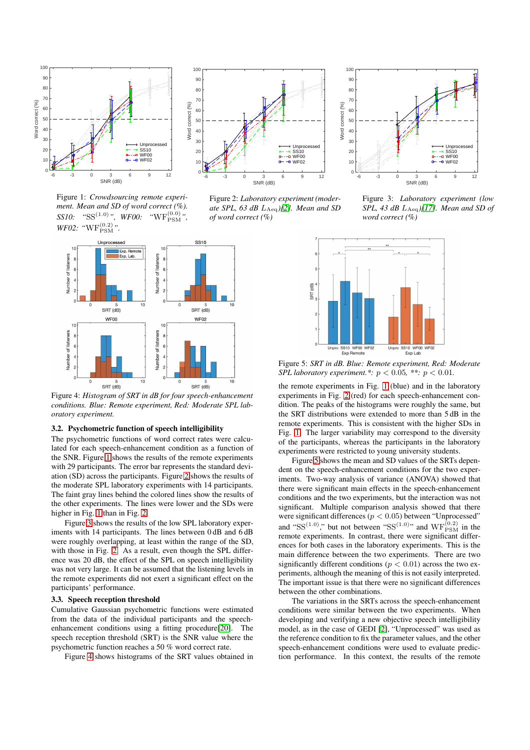<span id="page-2-0"></span>

Figure 1: *Crowdsourcing remote experiment. Mean and SD of word correct (%). SS10:* " $SS^{(1.0)}$ ", *WF00:* " $WF^{(0.0)}_{PSM}$ ", *WF02*: " $WF_{PSM}^{(0.2)}$ ".



Figure 2: *Laboratory experiment (moderate SPL, 63 dB* LAeq*)[\[2\]](#page-4-1). Mean and SD of word correct (%)*

<span id="page-2-1"></span>

Figure 4: *Histogram of SRT in dB for four speech-enhancement conditions. Blue: Remote experiment, Red: Moderate SPL laboratory experiment.*

#### 3.2. Psychometric function of speech intelligibility

The psychometric functions of word correct rates were calculated for each speech-enhancement condition as a function of the SNR. Figure [1](#page-2-0) shows the results of the remote experiments with 29 participants. The error bar represents the standard deviation (SD) across the participants. Figure [2](#page-2-0) shows the results of the moderate SPL laboratory experiments with 14 participants. The faint gray lines behind the colored lines show the results of the other experiments. The lines were lower and the SDs were higher in Fig. [1](#page-2-0) than in Fig. [2.](#page-2-0)

Figure [3](#page-2-0) shows the results of the low SPL laboratory experiments with 14 participants. The lines between 0 dB and 6 dB were roughly overlapping, at least within the range of the SD, with those in Fig. [2.](#page-2-0) As a result, even though the SPL difference was 20 dB, the effect of the SPL on speech intelligibility was not very large. It can be assumed that the listening levels in the remote experiments did not exert a significant effect on the participants' performance.

#### 3.3. Speech reception threshold

Cumulative Gaussian psychometric functions were estimated from the data of the individual participants and the speechenhancement conditions using a fitting procedure[\[20\]](#page-4-19). The speech reception threshold (SRT) is the SNR value where the psychometric function reaches a 50 % word correct rate.

Figure [4](#page-2-1) shows histograms of the SRT values obtained in



Figure 3: *Laboratory experiment (low SPL, 43 dB* LAeq*)[\[17\]](#page-4-16). Mean and SD of word correct (%)*

<span id="page-2-2"></span>

Figure 5: *SRT in dB. Blue: Remote experiment, Red: Moderate SPL laboratory experiment.\*:* p < 0.05*, \*\*:* p < 0.01*.*

the remote experiments in Fig. [1](#page-2-0) (blue) and in the laboratory experiments in Fig. [2](#page-2-0) (red) for each speech-enhancement condition. The peaks of the histograms were roughly the same, but the SRT distributions were extended to more than 5 dB in the remote experiments. This is consistent with the higher SDs in Fig. [1.](#page-2-0) The larger variability may correspond to the diversity of the participants, whereas the participants in the laboratory experiments were restricted to young university students.

Figure [5](#page-2-2) shows the mean and SD values of the SRTs dependent on the speech-enhancement conditions for the two experiments. Two-way analysis of variance (ANOVA) showed that there were significant main effects in the speech-enhancement conditions and the two experiments, but the interaction was not significant. Multiple comparison analysis showed that there were significant differences ( $p < 0.05$ ) between "Unprocessed" and "SS<sup>(1.0)</sup>," but not between "SS<sup>(1.0)</sup>" and  $WF_{PSM}^{(0.2)}$  in the remote experiments. In contrast, there were significant differences for both cases in the laboratory experiments. This is the main difference between the two experiments. There are two significantly different conditions ( $p < 0.01$ ) across the two experiments, although the meaning of this is not easily interpreted. The important issue is that there were no significant differences between the other combinations.

The variations in the SRTs across the speech-enhancement conditions were similar between the two experiments. When developing and verifying a new objective speech intelligibility model, as in the case of GEDI [\[2\]](#page-4-1), "Unprocessed" was used as the reference condition to fix the parameter values, and the other speech-enhancement conditions were used to evaluate prediction performance. In this context, the results of the remote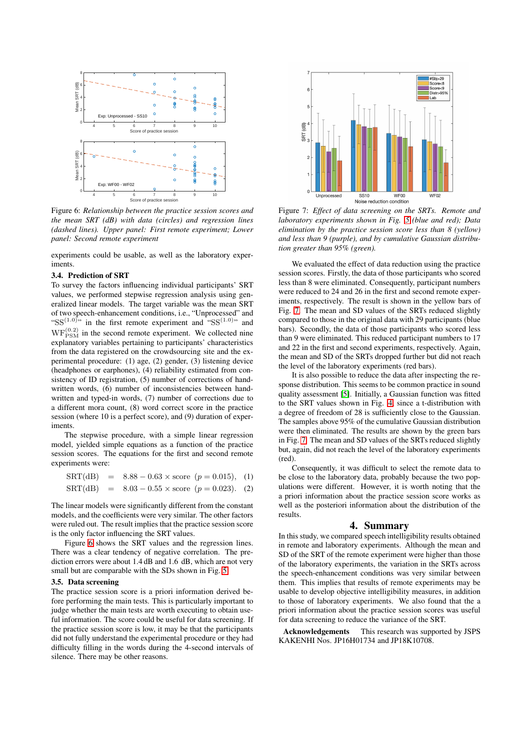<span id="page-3-1"></span>

Figure 6: *Relationship between the practice session scores and the mean SRT (dB) with data (circles) and regression lines (dashed lines). Upper panel: First remote experiment; Lower panel: Second remote experiment*

experiments could be usable, as well as the laboratory experiments.

## 3.4. Prediction of SRT

To survey the factors influencing individual participants' SRT values, we performed stepwise regression analysis using generalized linear models. The target variable was the mean SRT of two speech-enhancement conditions, i.e., "Unprocessed" and " $SS^{(1.0)}$ " in the first remote experiment and " $SS^{(1.0)}$ " and  $WF_{PSM}^{(0.2)}$  in the second remote experiment. We collected nine explanatory variables pertaining to participants' characteristics from the data registered on the crowdsourcing site and the experimental procedure: (1) age, (2) gender, (3) listening device (headphones or earphones), (4) reliability estimated from consistency of ID registration, (5) number of corrections of handwritten words, (6) number of inconsistencies between handwritten and typed-in words, (7) number of corrections due to a different mora count, (8) word correct score in the practice session (where 10 is a perfect score), and (9) duration of experiments.

The stepwise procedure, with a simple linear regression model, yielded simple equations as a function of the practice session scores. The equations for the first and second remote experiments were:

$$
SRT(dB) = 8.88 - 0.63 \times \text{score} \ (p = 0.015), \quad (1)
$$

$$
SRT(dB) = 8.03 - 0.55 \times \text{score} \ (p = 0.023). \tag{2}
$$

The linear models were significantly different from the constant models, and the coefficients were very similar. The other factors were ruled out. The result implies that the practice session score is the only factor influencing the SRT values.

Figure [6](#page-3-1) shows the SRT values and the regression lines. There was a clear tendency of negative correlation. The prediction errors were about 1.4 dB and 1.6 dB, which are not very small but are comparable with the SDs shown in Fig. [5.](#page-2-2)

#### <span id="page-3-0"></span>3.5. Data screening

The practice session score is a priori information derived before performing the main tests. This is particularly important to judge whether the main tests are worth executing to obtain useful information. The score could be useful for data screening. If the practice session score is low, it may be that the participants did not fully understand the experimental procedure or they had difficulty filling in the words during the 4-second intervals of silence. There may be other reasons.

<span id="page-3-2"></span>

Figure 7: *Effect of data screening on the SRTs. Remote and laboratory experiments shown in Fig. [5](#page-2-2) (blue and red); Data elimination by the practice session score less than 8 (yellow) and less than 9 (purple), and by cumulative Gaussian distribution greater than 95% (green).*

We evaluated the effect of data reduction using the practice session scores. Firstly, the data of those participants who scored less than 8 were eliminated. Consequently, participant numbers were reduced to 24 and 26 in the first and second remote experiments, respectively. The result is shown in the yellow bars of Fig. [7.](#page-3-2) The mean and SD values of the SRTs reduced slightly compared to those in the original data with 29 participants (blue bars). Secondly, the data of those participants who scored less than 9 were eliminated. This reduced participant numbers to 17 and 22 in the first and second experiments, respectively. Again, the mean and SD of the SRTs dropped further but did not reach the level of the laboratory experiments (red bars).

It is also possible to reduce the data after inspecting the response distribution. This seems to be common practice in sound quality assessment [\[5\]](#page-4-4). Initially, a Gaussian function was fitted to the SRT values shown in Fig. [4,](#page-2-1) since a t-distribution with a degree of freedom of 28 is sufficiently close to the Gaussian. The samples above 95% of the cumulative Gaussian distribution were then eliminated. The results are shown by the green bars in Fig. [7.](#page-3-2) The mean and SD values of the SRTs reduced slightly but, again, did not reach the level of the laboratory experiments (red).

Consequently, it was difficult to select the remote data to be close to the laboratory data, probably because the two populations were different. However, it is worth noting that the a priori information about the practice session score works as well as the posteriori information about the distribution of the results.

#### 4. Summary

In this study, we compared speech intelligibility results obtained in remote and laboratory experiments. Although the mean and SD of the SRT of the remote experiment were higher than those of the laboratory experiments, the variation in the SRTs across the speech-enhancement conditions was very similar between them. This implies that results of remote experiments may be usable to develop objective intelligibility measures, in addition to those of laboratory experiments. We also found that the a priori information about the practice session scores was useful for data screening to reduce the variance of the SRT.

Acknowledgements This research was supported by JSPS KAKENHI Nos. JP16H01734 and JP18K10708.